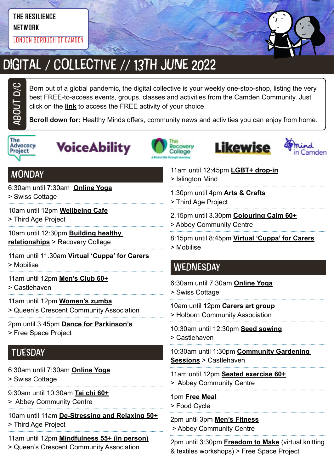#### **THE RESILIENCE NETWORK**

LONDON BOROUGH OF CAMDEN



# DIGITAL / COLLECTIVE // 13TH JUNE 2022

Born out of a global pandemic, the digital collective is your weekly one-stop-shop, listing the very best FREE-to-access events, groups, classes and activities from the Camden Community. Just click on the **link** to access the FREE activity of your choice.

**Scroll down for:** Healthy Minds offers, community news and activities you can enjoy from home.



ABOUt D/C









## **MONDAY**

6:30am until 7:30am **[Online Yoga](https://yourswiss.org/)**

> Swiss Cottage

- 10am until 12pm **[Wellbeing Cafe](https://thirdageproject.org.uk/calendar/)**
- > Third Age Project

10am until 12:30pm **[Building healthy](https://www.candi.nhs.uk/our-services/education-and-employment/recovery-college)  [relationships](https://www.candi.nhs.uk/our-services/education-and-employment/recovery-college)** > Recovery College

11am until 11.30am **[Virtual 'Cuppa' for Carers](https://www.mobiliseonline.co.uk/cuppa)**

> Mobilise

11am until 12pm **[Men's Club 60+](https://www.castlehaven.org.uk/whats-on/event/2539/)**

> Castlehaven

- 11am until 12pm **[Women's zumba](https://twitter.com/QCCA_ltd/status/1441030606608027653/photo/1)**
- > Queen's Crescent Community Association
- 2pm until 3:45pm **[Dance for Parkinson's](https://www.freespaceproject.org/blog/dance-for-parkinsons)**
- > Free Space Project

## **TUESDAY**

- 6:30am until 7:30am **[Online Yoga](https://yourswiss.org/)**
- > Swiss Cottage
- 9:30am until 10:30am **[Tai chi 60+](https://abbeycc-kilburn.org.uk/wp-content/uploads/2020/03/January-2022-programme.pdf)**
- > Abbey Community Centre
- 10am until 11am **[De-Stressing and Relaxing 50+](https://mcusercontent.com/ea2facf10e2b0030d86ac8775/images/7b7e1a43-b1d4-46e2-9a1c-220235255224.jpg?fbclid=IwAR3OeQ_6KX5rCiRFaTvQ2osfj66ekG8CeO0OVWDTfpWugvLoPIhuUhJObyU)**
- > Third Age Project
- 11am until 12pm **[Mindfulness 55+ \(in person\)](https://twitter.com/QCCA_ltd/status/1514271932044255238)**
- > Queen's Crescent Community Association
- 11am until 12:45pm **[LGBT+ drop-in](https://www.islingtonmind.org.uk/our-services/mhrp/virtual-support-services/)** > Islington Mind
- 1:30pm until 4pm **[Arts & Crafts](https://twitter.com/ThirdAgeProject/status/1483392643849756675/photo/2)**
- > Third Age Project
- 2.15pm until 3.30pm **[Colouring Calm 60+](https://abbeycc-kilburn.org.uk/wp-content/uploads/2020/03/January-2022-programme.pdf)**
- > Abbey Community Centre
- 8:15pm until 8:45pm **[Virtual 'Cuppa' for Carers](https://www.mobiliseonline.co.uk/cuppa)**
- > Mobilise

## **WEDNESDAY**

6:30am until 7:30am **[Online Yoga](https://yourswiss.org/)** > Swiss Cottage

10am until 12pm **[Carers art group](https://www.holborncommunity.co.uk/events/carers-art-group-2021-04-07/)** > Holborn Community Association

10:30am until 12:30pm **[Seed sowing](https://www.castlehaven.org.uk/whats-on/event/2670/)** > Castlehaven

10:30am until 1:30pm **[Community Gardening](https://www.castlehaven.org.uk/whats-on/event/1459/)  [Sessions](https://www.castlehaven.org.uk/whats-on/event/1459/)** > Castlehaven

- 11am until 12pm **[Seated exercise 60+](https://abbeycc-kilburn.org.uk/wp-content/uploads/2020/03/January-2022-programme.pdf)** > Abbey Community Centre
- 

1pm **[Free Meal](https://www.foodcycle.org.uk/location/london-islington/)** > Food Cycle

2pm until 3pm **[Men's Fitness](mailto:https://abbeycc-kilburn.org.uk/wp-content/uploads/2020/03/January-2022-programme.pdf?subject=Men%27s%20fitness)** > Abbey Community Centre

2pm until 3:30pm **[Freedom to Make](https://www.freespaceproject.org/projects/freedomtomake)** (virtual knitting & textiles workshops) > Free Space Project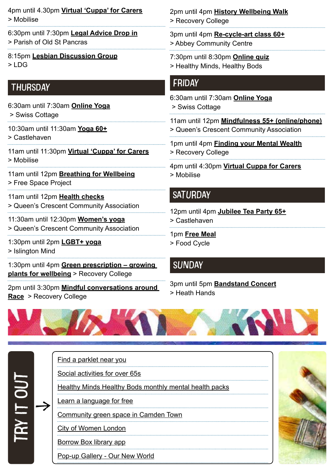4pm until 4.30pm **[Virtual 'Cuppa' for Carers](https://www.mobiliseonline.co.uk/cuppa)** > Mobilise

- 6:30pm until 7:30pm **[Legal Advice Drop in](https://posp.co.uk/social-justice/legal-drop-in/)** > Parish of Old St Pancras
- 8:15pm **[Lesbian Discussion Group](https://www.lesbiandiscussiongroup.com/)**  $>1$  DG

## **THURSDAY**

- 6:30am until 7:30am **[Online Yoga](https://yourswiss.org/)** > Swiss Cottage
- 10:30am until 11:30am **[Yoga 60+](https://www.castlehaven.org.uk/whats-on/event/2561/)** > Castlehaven
- 11am until 11:30pm **[Virtual 'Cuppa' for Carers](https://www.mobiliseonline.co.uk/cuppa)** > Mobilise
- 11am until 12pm **[Breathing for Wellbeing](https://www.freespaceproject.org/blog/guidedmeditation-57c8e)** > Free Space Project
- 11am until 12pm **[Health checks](https://twitter.com/QCCA_ltd/status/1441030606608027653/photo/1)** > Queen's Crescent Community Association
- 11:30am until 12:30pm **[Women's yoga](https://twitter.com/QCCA_ltd/status/1441030606608027653/photo/1)** > Queen's Crescent Community Association
- 1:30pm until 2pm **[LGBT+ yoga](https://www.islingtonmind.org.uk/our-services/outcome/)**
- > Islington Mind

1:30pm until 4pm **[Green prescription – growing](https://www.candi.nhs.uk/our-services/education-and-employment/recovery-college)  [plants for wellbeing](https://www.candi.nhs.uk/our-services/education-and-employment/recovery-college)** > Recovery College

2pm until 3:30pm **[Mindful conversations around](https://www.candi.nhs.uk/our-services/education-and-employment/recovery-college)  [Race](https://www.candi.nhs.uk/our-services/education-and-employment/recovery-college)** > Recovery College

#### 2pm until 4pm **[History Wellbeing Walk](https://www.candi.nhs.uk/our-services/education-and-employment/recovery-college)** > Recovery College

3pm until 4pm **[Re-cycle-art class](https://abbeycc-kilburn.org.uk/wp-content/uploads/2020/03/January-2022-programme.pdf) 60+**

- > Abbey Community Centre
- 7:30pm until 8:30pm **[Online quiz](https://www.mentalhealthcamden.co.uk/events/22/02/healthy-minds-healthy-bods-online-quiz)**
- > Healthy Minds, Healthy Bods

#### FRIDAY

- 6:30am until 7:30am **[Online Yoga](https://yourswiss.org/)** > Swiss Cottage 11am until 12pm **[Mindfulness 55+ \(online/phone\)](https://twitter.com/QCCA_ltd/status/1514271932044255238)** > Queen's Crescent Community Association 1pm until 4pm **[Finding your Mental Wealth](https://www.candi.nhs.uk/our-services/education-and-employment/recovery-college)** > Recovery College
	- 4pm until 4:30pm **[Virtual Cuppa for Carers](https://www.mobiliseonline.co.uk/cuppa)** > Mobilise

### **SATURDAY**

- 12pm until 4pm **[Jubilee Tea Party 65+](https://www.castlehaven.org.uk/whats-on/event/2643/)**
- > Castlehaven
- 1pm **[Free Meal](https://www.foodcycle.org.uk/location/london-finsbury-park/)**
- > Food Cycle

## **SUNDAY**

3pm until 5pm **[Bandstand Concert](https://www.heath-hands.org.uk/whatson)** > Heath Hands



[Find a parklet near you](https://parkletsacrosscamden.commonplace.is/) [Social activities for over 65s](https://northlondoncares.org.uk/social-clubs#) [Healthy Minds Healthy Bods monthly mental health packs](https://www.hmhb2016.org.uk/copy-of-monthly-health-packs-may-21) [Learn a language for free](https://jointoucan.com/?utm_source=twitter&utm_medium=cpc&utm_campaign=toucan-2-wt&twclid=11512072843810332675) [Community green space in Camden Town](https://twitter.com/CCA_Camden/status/1509146355465428994) [City of Women London](file:https://www.cityofwomenlondon.org/) [Borrow Box library app](file:https://www.borrowbox.com/) [Pop-up Gallery - Our New World](https://www.internationalwomensday.com/Activity/17304/Pop-up-Gallery-Our-New-World)  $\rightarrow$ try in **ya**